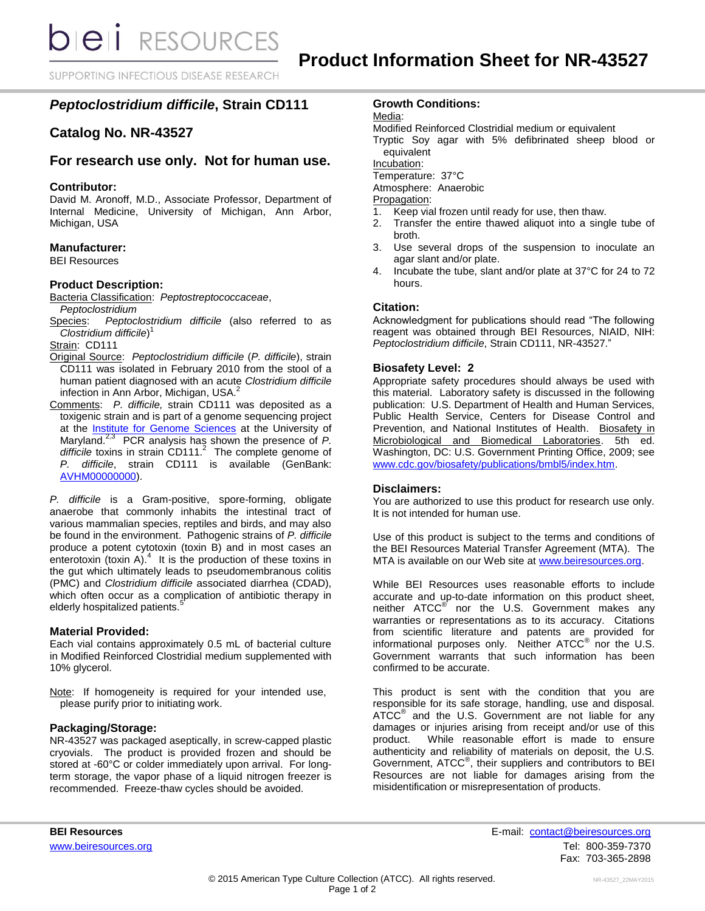**bieli** RESOURCES

SUPPORTING INFECTIOUS DISEASE RESEARCH

# *Peptoclostridium difficile***, Strain CD111**

# **Catalog No. NR-43527**

## **For research use only. Not for human use.**

#### **Contributor:**

David M. Aronoff, M.D., Associate Professor, Department of Internal Medicine, University of Michigan, Ann Arbor, Michigan, USA

#### **Manufacturer:**

BEI Resources

#### **Product Description:**

Bacteria Classification: *Peptostreptococcaceae*, *Peptoclostridium*

Species: *Peptoclostridium difficile* (also referred to as *Clostridium difficile*) 1

Strain: CD111

- Original Source: *Peptoclostridium difficile* (*P. difficile*), strain CD111 was isolated in February 2010 from the stool of a human patient diagnosed with an acute *Clostridium difficile* infection in Ann Arbor, Michigan, USA. 2
- Comments: *P. difficile,* strain CD111 was deposited as a toxigenic strain and is part of a genome sequencing project at the [Institute for Genome Sciences](http://www.igs.umaryland.edu/) at the University of Maryland.2,3 PCR analysis has shown the presence of *P. difficile* toxins in strain CD111. 2 The complete genome of *P. difficile*, strain CD111 is available (GenBank: [AVHM00000000\)](http://www.ncbi.nlm.nih.gov/nuccore/AVHM00000000).

*P. difficile* is a Gram-positive, spore-forming, obligate anaerobe that commonly inhabits the intestinal tract of various mammalian species, reptiles and birds, and may also be found in the environment. Pathogenic strains of *P. difficile* produce a potent cytotoxin (toxin B) and in most cases an enterotoxin (toxin A). $4$  It is the production of these toxins in the gut which ultimately leads to pseudomembranous colitis (PMC) and *Clostridium difficile* associated diarrhea (CDAD), which often occur as a complication of antibiotic therapy in elderly hospitalized patients.<sup>5</sup>

#### **Material Provided:**

Each vial contains approximately 0.5 mL of bacterial culture in Modified Reinforced Clostridial medium supplemented with 10% glycerol.

Note: If homogeneity is required for your intended use, please purify prior to initiating work.

#### **Packaging/Storage:**

NR-43527 was packaged aseptically, in screw-capped plastic cryovials. The product is provided frozen and should be stored at -60°C or colder immediately upon arrival. For longterm storage, the vapor phase of a liquid nitrogen freezer is recommended. Freeze-thaw cycles should be avoided.

### **Growth Conditions:**

Media:

Modified Reinforced Clostridial medium or equivalent

Tryptic Soy agar with 5% defibrinated sheep blood or equivalent

Incubation:

Temperature: 37°C

Atmosphere: Anaerobic

Propagation:

- 1. Keep vial frozen until ready for use, then thaw.
- 2. Transfer the entire thawed aliquot into a single tube of broth.
- 3. Use several drops of the suspension to inoculate an agar slant and/or plate.
- 4. Incubate the tube, slant and/or plate at 37°C for 24 to 72 hours.

#### **Citation:**

Acknowledgment for publications should read "The following reagent was obtained through BEI Resources, NIAID, NIH: *Peptoclostridium difficile*, Strain CD111, NR-43527."

#### **Biosafety Level: 2**

Appropriate safety procedures should always be used with this material. Laboratory safety is discussed in the following publication: U.S. Department of Health and Human Services, Public Health Service, Centers for Disease Control and Prevention, and National Institutes of Health. Biosafety in Microbiological and Biomedical Laboratories. 5th ed. Washington, DC: U.S. Government Printing Office, 2009; see [www.cdc.gov/biosafety/publications/bmbl5/index.htm.](http://www.cdc.gov/biosafety/publications/bmbl5/index.htm)

#### **Disclaimers:**

You are authorized to use this product for research use only. It is not intended for human use.

Use of this product is subject to the terms and conditions of the BEI Resources Material Transfer Agreement (MTA). The MTA is available on our Web site at [www.beiresources.org.](http://www.beiresources.org/)

While BEI Resources uses reasonable efforts to include accurate and up-to-date information on this product sheet, neither ATCC<sup>®</sup> nor the U.S. Government makes any warranties or representations as to its accuracy. Citations from scientific literature and patents are provided for informational purposes only. Neither  $ATCC^{\circledast}$  nor the U.S. Government warrants that such information has been confirmed to be accurate.

This product is sent with the condition that you are responsible for its safe storage, handling, use and disposal. ATCC<sup>®</sup> and the U.S. Government are not liable for any damages or injuries arising from receipt and/or use of this product. While reasonable effort is made to ensure authenticity and reliability of materials on deposit, the U.S. Government, ATCC® , their suppliers and contributors to BEI Resources are not liable for damages arising from the misidentification or misrepresentation of products.

**BEI Resources** E-mail: contact@beiresources.org [www.beiresources.org](http://www.beiresources.org/) **Tel: 800-359-7370** Fax: 703-365-2898